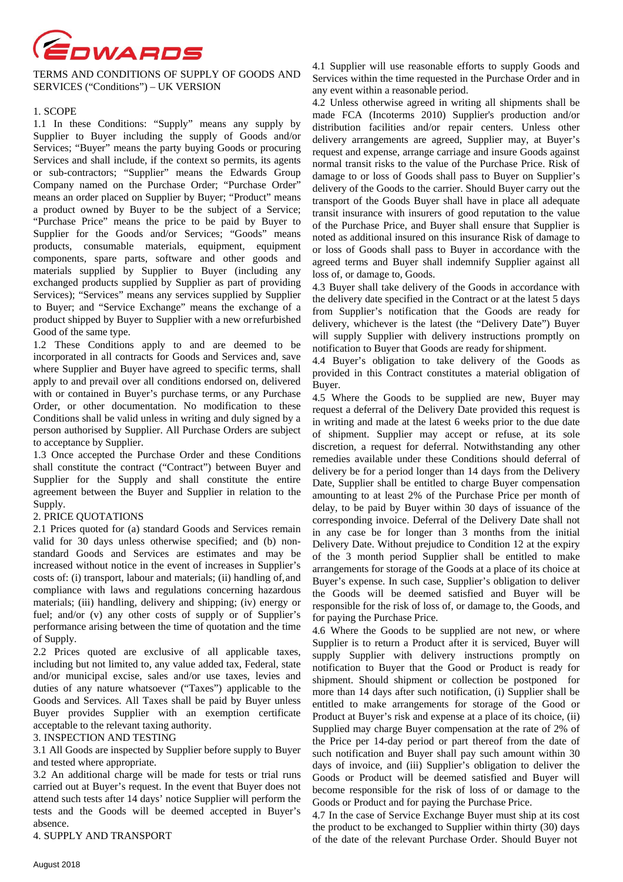

TERMS AND CONDITIONS OF SUPPLY OF GOODS AND SERVICES ("Conditions") – UK VERSION

## 1. SCOPE

1.1 In these Conditions: "Supply" means any supply by Supplier to Buyer including the supply of Goods and/or Services; "Buyer" means the party buying Goods or procuring Services and shall include, if the context so permits, its agents or sub-contractors; "Supplier" means the Edwards Group Company named on the Purchase Order; "Purchase Order" means an order placed on Supplier by Buyer; "Product" means a product owned by Buyer to be the subject of a Service; "Purchase Price" means the price to be paid by Buyer to Supplier for the Goods and/or Services; "Goods" means products, consumable materials, equipment, equipment components, spare parts, software and other goods and materials supplied by Supplier to Buyer (including any exchanged products supplied by Supplier as part of providing Services); "Services" means any services supplied by Supplier to Buyer; and "Service Exchange" means the exchange of a product shipped by Buyer to Supplier with a new or refurbished Good of the same type.

1.2 These Conditions apply to and are deemed to be incorporated in all contracts for Goods and Services and, save where Supplier and Buyer have agreed to specific terms, shall apply to and prevail over all conditions endorsed on, delivered with or contained in Buyer's purchase terms, or any Purchase Order, or other documentation. No modification to these Conditions shall be valid unless in writing and duly signed by a person authorised by Supplier. All Purchase Orders are subject to acceptance by Supplier.

1.3 Once accepted the Purchase Order and these Conditions shall constitute the contract ("Contract") between Buyer and Supplier for the Supply and shall constitute the entire agreement between the Buyer and Supplier in relation to the Supply.

# 2. PRICE QUOTATIONS

2.1 Prices quoted for (a) standard Goods and Services remain valid for 30 days unless otherwise specified; and (b) nonstandard Goods and Services are estimates and may be increased without notice in the event of increases in Supplier's costs of: (i) transport, labour and materials; (ii) handling of, and compliance with laws and regulations concerning hazardous materials; (iii) handling, delivery and shipping; (iv) energy or fuel; and/or (v) any other costs of supply or of Supplier's performance arising between the time of quotation and the time of Supply.

2.2 Prices quoted are exclusive of all applicable taxes, including but not limited to, any value added tax, Federal, state and/or municipal excise, sales and/or use taxes, levies and duties of any nature whatsoever ("Taxes") applicable to the Goods and Services. All Taxes shall be paid by Buyer unless Buyer provides Supplier with an exemption certificate acceptable to the relevant taxing authority.

## 3. INSPECTION AND TESTING

3.1 All Goods are inspected by Supplier before supply to Buyer and tested where appropriate.

3.2 An additional charge will be made for tests or trial runs carried out at Buyer's request. In the event that Buyer does not attend such tests after 14 days' notice Supplier will perform the tests and the Goods will be deemed accepted in Buyer's absence.

4. SUPPLY AND TRANSPORT

4.1 Supplier will use reasonable efforts to supply Goods and Services within the time requested in the Purchase Order and in any event within a reasonable period.

4.2 Unless otherwise agreed in writing all shipments shall be made FCA (Incoterms 2010) Supplier's production and/or distribution facilities and/or repair centers. Unless other delivery arrangements are agreed, Supplier may, at Buyer's request and expense, arrange carriage and insure Goods against normal transit risks to the value of the Purchase Price. Risk of damage to or loss of Goods shall pass to Buyer on Supplier's delivery of the Goods to the carrier. Should Buyer carry out the transport of the Goods Buyer shall have in place all adequate transit insurance with insurers of good reputation to the value of the Purchase Price, and Buyer shall ensure that Supplier is noted as additional insured on this insurance Risk of damage to or loss of Goods shall pass to Buyer in accordance with the agreed terms and Buyer shall indemnify Supplier against all loss of, or damage to, Goods.

4.3 Buyer shall take delivery of the Goods in accordance with the delivery date specified in the Contract or at the latest 5 days from Supplier's notification that the Goods are ready for delivery, whichever is the latest (the "Delivery Date") Buyer will supply Supplier with delivery instructions promptly on notification to Buyer that Goods are ready for shipment.

4.4 Buyer's obligation to take delivery of the Goods as provided in this Contract constitutes a material obligation of Buyer.

4.5 Where the Goods to be supplied are new, Buyer may request a deferral of the Delivery Date provided this request is in writing and made at the latest 6 weeks prior to the due date of shipment. Supplier may accept or refuse, at its sole discretion, a request for deferral. Notwithstanding any other remedies available under these Conditions should deferral of delivery be for a period longer than 14 days from the Delivery Date, Supplier shall be entitled to charge Buyer compensation amounting to at least 2% of the Purchase Price per month of delay, to be paid by Buyer within 30 days of issuance of the corresponding invoice. Deferral of the Delivery Date shall not in any case be for longer than 3 months from the initial Delivery Date. Without prejudice to Condition 12 at the expiry of the 3 month period Supplier shall be entitled to make arrangements for storage of the Goods at a place of its choice at Buyer's expense. In such case, Supplier's obligation to deliver the Goods will be deemed satisfied and Buyer will be responsible for the risk of loss of, or damage to, the Goods, and for paying the Purchase Price.

4.6 Where the Goods to be supplied are not new, or where Supplier is to return a Product after it is serviced, Buyer will supply Supplier with delivery instructions promptly on notification to Buyer that the Good or Product is ready for shipment. Should shipment or collection be postponed for more than 14 days after such notification, (i) Supplier shall be entitled to make arrangements for storage of the Good or Product at Buyer's risk and expense at a place of its choice, (ii) Supplied may charge Buyer compensation at the rate of 2% of the Price per 14-day period or part thereof from the date of such notification and Buyer shall pay such amount within 30 days of invoice, and (iii) Supplier's obligation to deliver the Goods or Product will be deemed satisfied and Buyer will become responsible for the risk of loss of or damage to the Goods or Product and for paying the Purchase Price.

4.7 In the case of Service Exchange Buyer must ship at its cost the product to be exchanged to Supplier within thirty (30) days of the date of the relevant Purchase Order. Should Buyer not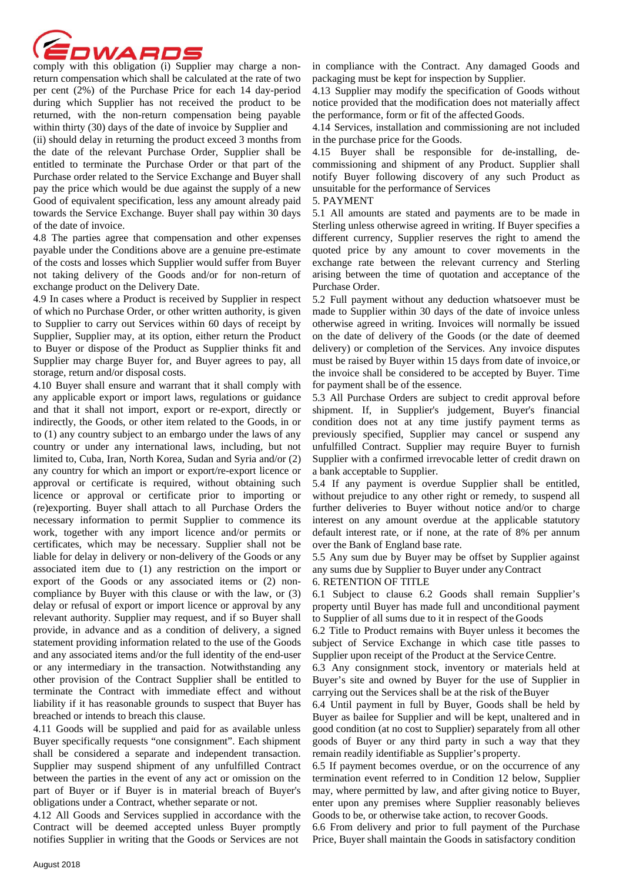

return compensation which shall be calculated at the rate of two per cent (2%) of the Purchase Price for each 14 day-period during which Supplier has not received the product to be returned, with the non-return compensation being payable within thirty (30) days of the date of invoice by Supplier and

(ii) should delay in returning the product exceed 3 months from the date of the relevant Purchase Order, Supplier shall be entitled to terminate the Purchase Order or that part of the Purchase order related to the Service Exchange and Buyer shall pay the price which would be due against the supply of a new Good of equivalent specification, less any amount already paid towards the Service Exchange. Buyer shall pay within 30 days of the date of invoice.

4.8 The parties agree that compensation and other expenses payable under the Conditions above are a genuine pre-estimate of the costs and losses which Supplier would suffer from Buyer not taking delivery of the Goods and/or for non-return of exchange product on the Delivery Date.

4.9 In cases where a Product is received by Supplier in respect of which no Purchase Order, or other written authority, is given to Supplier to carry out Services within 60 days of receipt by Supplier, Supplier may, at its option, either return the Product to Buyer or dispose of the Product as Supplier thinks fit and Supplier may charge Buyer for, and Buyer agrees to pay, all storage, return and/or disposal costs.

4.10 Buyer shall ensure and warrant that it shall comply with any applicable export or import laws, regulations or guidance and that it shall not import, export or re-export, directly or indirectly, the Goods, or other item related to the Goods, in or to (1) any country subject to an embargo under the laws of any country or under any international laws, including, but not limited to, Cuba, Iran, North Korea, Sudan and Syria and/or (2) any country for which an import or export/re-export licence or approval or certificate is required, without obtaining such licence or approval or certificate prior to importing or (re)exporting. Buyer shall attach to all Purchase Orders the necessary information to permit Supplier to commence its work, together with any import licence and/or permits or certificates, which may be necessary. Supplier shall not be liable for delay in delivery or non-delivery of the Goods or any associated item due to (1) any restriction on the import or export of the Goods or any associated items or (2) noncompliance by Buyer with this clause or with the law, or (3) delay or refusal of export or import licence or approval by any relevant authority. Supplier may request, and if so Buyer shall provide, in advance and as a condition of delivery, a signed statement providing information related to the use of the Goods and any associated items and/or the full identity of the end-user or any intermediary in the transaction. Notwithstanding any other provision of the Contract Supplier shall be entitled to terminate the Contract with immediate effect and without liability if it has reasonable grounds to suspect that Buyer has breached or intends to breach this clause.

4.11 Goods will be supplied and paid for as available unless Buyer specifically requests "one consignment". Each shipment shall be considered a separate and independent transaction. Supplier may suspend shipment of any unfulfilled Contract between the parties in the event of any act or omission on the part of Buyer or if Buyer is in material breach of Buyer's obligations under a Contract, whether separate or not.

4.12 All Goods and Services supplied in accordance with the Contract will be deemed accepted unless Buyer promptly notifies Supplier in writing that the Goods or Services are not

in compliance with the Contract. Any damaged Goods and packaging must be kept for inspection by Supplier.

4.13 Supplier may modify the specification of Goods without notice provided that the modification does not materially affect the performance, form or fit of the affected Goods.

4.14 Services, installation and commissioning are not included in the purchase price for the Goods.

4.15 Buyer shall be responsible for de-installing, decommissioning and shipment of any Product. Supplier shall notify Buyer following discovery of any such Product as unsuitable for the performance of Services

5. PAYMENT

5.1 All amounts are stated and payments are to be made in Sterling unless otherwise agreed in writing. If Buyer specifies a different currency, Supplier reserves the right to amend the quoted price by any amount to cover movements in the exchange rate between the relevant currency and Sterling arising between the time of quotation and acceptance of the Purchase Order.

5.2 Full payment without any deduction whatsoever must be made to Supplier within 30 days of the date of invoice unless otherwise agreed in writing. Invoices will normally be issued on the date of delivery of the Goods (or the date of deemed delivery) or completion of the Services. Any invoice disputes must be raised by Buyer within 15 days from date of invoice, or the invoice shall be considered to be accepted by Buyer. Time for payment shall be of the essence.

5.3 All Purchase Orders are subject to credit approval before shipment. If, in Supplier's judgement, Buyer's financial condition does not at any time justify payment terms as previously specified, Supplier may cancel or suspend any unfulfilled Contract. Supplier may require Buyer to furnish Supplier with a confirmed irrevocable letter of credit drawn on a bank acceptable to Supplier.

5.4 If any payment is overdue Supplier shall be entitled, without prejudice to any other right or remedy, to suspend all further deliveries to Buyer without notice and/or to charge interest on any amount overdue at the applicable statutory default interest rate, or if none, at the rate of 8% per annum over the Bank of England base rate.

5.5 Any sum due by Buyer may be offset by Supplier against any sums due by Supplier to Buyer under any Contract

6. RETENTION OF TITLE

6.1 Subject to clause 6.2 Goods shall remain Supplier's property until Buyer has made full and unconditional payment to Supplier of all sums due to it in respect of the Goods

6.2 Title to Product remains with Buyer unless it becomes the subject of Service Exchange in which case title passes to Supplier upon receipt of the Product at the Service Centre.

6.3 Any consignment stock, inventory or materials held at Buyer's site and owned by Buyer for the use of Supplier in carrying out the Services shall be at the risk of the Buyer

6.4 Until payment in full by Buyer, Goods shall be held by Buyer as bailee for Supplier and will be kept, unaltered and in good condition (at no cost to Supplier) separately from all other goods of Buyer or any third party in such a way that they remain readily identifiable as Supplier's property.

6.5 If payment becomes overdue, or on the occurrence of any termination event referred to in Condition 12 below, Supplier may, where permitted by law, and after giving notice to Buyer, enter upon any premises where Supplier reasonably believes Goods to be, or otherwise take action, to recover Goods.

6.6 From delivery and prior to full payment of the Purchase Price, Buyer shall maintain the Goods in satisfactory condition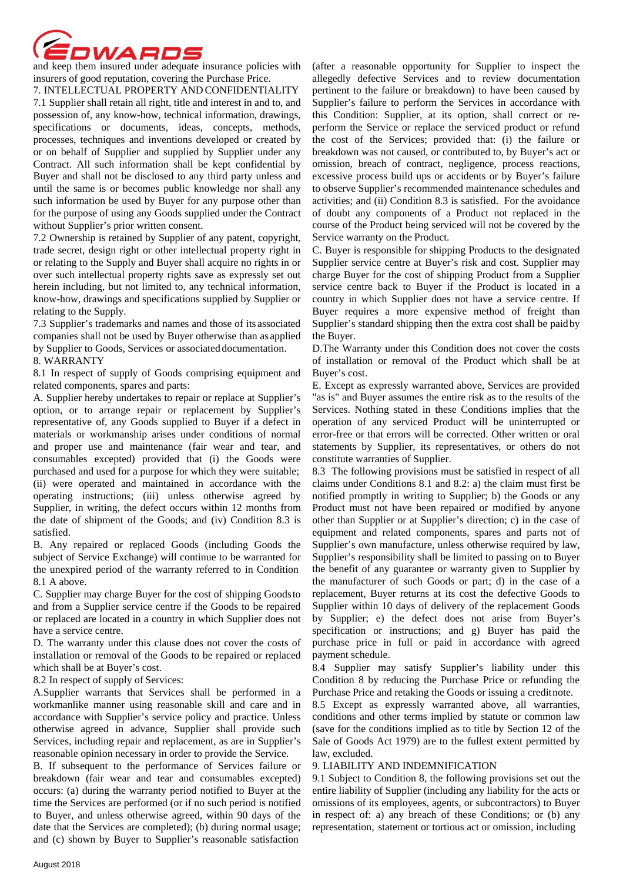

insurers of good reputation, covering the Purchase Price.

7. INTELLECTUAL PROPERTY AND CONFIDENTIALITY 7.1 Supplier shall retain all right, title and interest in and to, and possession of, any know-how, technical information, drawings, specifications or documents, ideas, concepts, methods, processes, techniques and inventions developed or created by or on behalf of Supplier and supplied by Supplier under any Contract. All such information shall be kept confidential by Buyer and shall not be disclosed to any third party unless and until the same is or becomes public knowledge nor shall any such information be used by Buyer for any purpose other than for the purpose of using any Goods supplied under the Contract without Supplier's prior written consent.

7.2 Ownership is retained by Supplier of any patent, copyright, trade secret, design right or other intellectual property right in or relating to the Supply and Buyer shall acquire no rights in or over such intellectual property rights save as expressly set out herein including, but not limited to, any technical information, know-how, drawings and specifications supplied by Supplier or relating to the Supply.

7.3 Supplier's trademarks and names and those of its associated companies shall not be used by Buyer otherwise than as applied by Supplier to Goods, Services or associated documentation.

## 8. WARRANTY

8.1 In respect of supply of Goods comprising equipment and related components, spares and parts:

A. Supplier hereby undertakes to repair or replace at Supplier's option, or to arrange repair or replacement by Supplier's representative of, any Goods supplied to Buyer if a defect in materials or workmanship arises under conditions of normal and proper use and maintenance (fair wear and tear, and consumables excepted) provided that (i) the Goods were purchased and used for a purpose for which they were suitable; (ii) were operated and maintained in accordance with the operating instructions; (iii) unless otherwise agreed by Supplier, in writing, the defect occurs within 12 months from the date of shipment of the Goods; and (iv) Condition 8.3 is satisfied.

B. Any repaired or replaced Goods (including Goods the subject of Service Exchange) will continue to be warranted for the unexpired period of the warranty referred to in Condition 8.1 A above.

C. Supplier may charge Buyer for the cost of shipping Goods to and from a Supplier service centre if the Goods to be repaired or replaced are located in a country in which Supplier does not have a service centre.

D. The warranty under this clause does not cover the costs of installation or removal of the Goods to be repaired or replaced which shall be at Buyer's cost.

# 8.2 In respect of supply of Services:

A.Supplier warrants that Services shall be performed in a workmanlike manner using reasonable skill and care and in accordance with Supplier's service policy and practice. Unless otherwise agreed in advance, Supplier shall provide such Services, including repair and replacement, as are in Supplier's reasonable opinion necessary in order to provide the Service.

B. If subsequent to the performance of Services failure or breakdown (fair wear and tear and consumables excepted) occurs: (a) during the warranty period notified to Buyer at the time the Services are performed (or if no such period is notified to Buyer, and unless otherwise agreed, within 90 days of the date that the Services are completed); (b) during normal usage; and (c) shown by Buyer to Supplier's reasonable satisfaction

(after a reasonable opportunity for Supplier to inspect the allegedly defective Services and to review documentation pertinent to the failure or breakdown) to have been caused by Supplier's failure to perform the Services in accordance with this Condition: Supplier, at its option, shall correct or reperform the Service or replace the serviced product or refund the cost of the Services; provided that: (i) the failure or breakdown was not caused, or contributed to, by Buyer's act or omission, breach of contract, negligence, process reactions, excessive process build ups or accidents or by Buyer's failure to observe Supplier's recommended maintenance schedules and activities; and (ii) Condition 8.3 is satisfied.. For the avoidance of doubt any components of a Product not replaced in the course of the Product being serviced will not be covered by the Service warranty on the Product.

C. Buyer is responsible for shipping Products to the designated Supplier service centre at Buyer's risk and cost. Supplier may charge Buyer for the cost of shipping Product from a Supplier service centre back to Buyer if the Product is located in a country in which Supplier does not have a service centre. If Buyer requires a more expensive method of freight than Supplier's standard shipping then the extra cost shall be paid by the Buyer.

D.The Warranty under this Condition does not cover the costs of installation or removal of the Product which shall be at Buyer's cost.

E. Except as expressly warranted above, Services are provided "as is" and Buyer assumes the entire risk as to the results of the Services. Nothing stated in these Conditions implies that the operation of any serviced Product will be uninterrupted or error-free or that errors will be corrected. Other written or oral statements by Supplier, its representatives, or others do not constitute warranties of Supplier.

8.3 The following provisions must be satisfied in respect of all claims under Conditions 8.1 and 8.2: a) the claim must first be notified promptly in writing to Supplier; b) the Goods or any Product must not have been repaired or modified by anyone other than Supplier or at Supplier's direction; c) in the case of equipment and related components, spares and parts not of Supplier's own manufacture, unless otherwise required by law, Supplier's responsibility shall be limited to passing on to Buyer the benefit of any guarantee or warranty given to Supplier by the manufacturer of such Goods or part; d) in the case of a replacement, Buyer returns at its cost the defective Goods to Supplier within 10 days of delivery of the replacement Goods by Supplier; e) the defect does not arise from Buyer's specification or instructions; and g) Buyer has paid the purchase price in full or paid in accordance with agreed payment schedule.

8.4 Supplier may satisfy Supplier's liability under this Condition 8 by reducing the Purchase Price or refunding the Purchase Price and retaking the Goods or issuing a credit note.

8.5 Except as expressly warranted above, all warranties, conditions and other terms implied by statute or common law (save for the conditions implied as to title by Section 12 of the Sale of Goods Act 1979) are to the fullest extent permitted by law, excluded.

#### 9. LIABILITY AND INDEMNIFICATION

9.1 Subject to Condition 8, the following provisions set out the entire liability of Supplier (including any liability for the acts or omissions of its employees, agents, or subcontractors) to Buyer in respect of: a) any breach of these Conditions; or (b) any representation, statement or tortious act or omission, including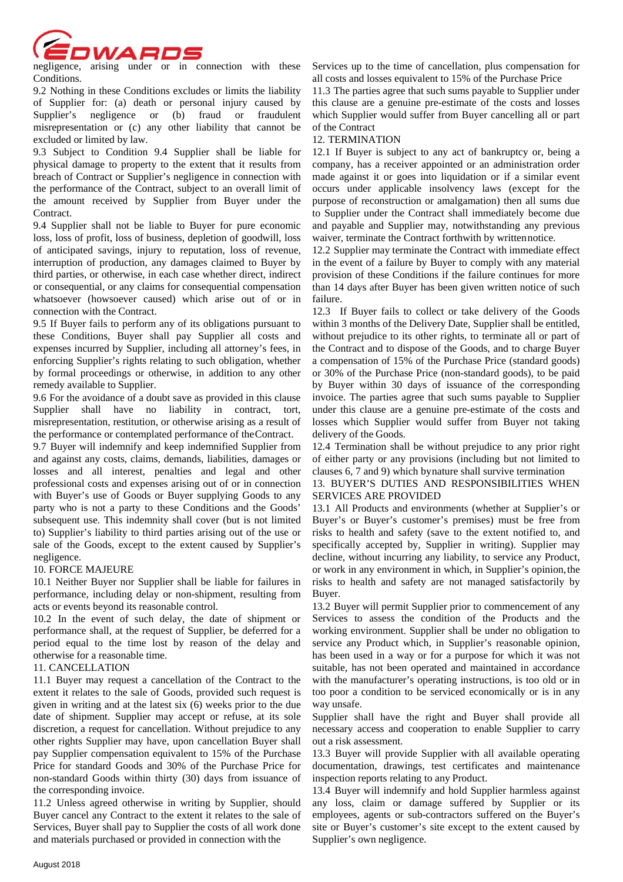

negligence, arising under or in connection with these Conditions.

9.2 Nothing in these Conditions excludes or limits the liability of Supplier for: (a) death or personal injury caused by Supplier's negligence or (b) fraud or fraudulent misrepresentation or (c) any other liability that cannot be excluded or limited by law.

9.3 Subject to Condition 9.4 Supplier shall be liable for physical damage to property to the extent that it results from breach of Contract or Supplier's negligence in connection with the performance of the Contract, subject to an overall limit of the amount received by Supplier from Buyer under the Contract.

9.4 Supplier shall not be liable to Buyer for pure economic loss, loss of profit, loss of business, depletion of goodwill, loss of anticipated savings, injury to reputation, loss of revenue, interruption of production, any damages claimed to Buyer by third parties, or otherwise, in each case whether direct, indirect or consequential, or any claims for consequential compensation whatsoever (howsoever caused) which arise out of or in connection with the Contract.

9.5 If Buyer fails to perform any of its obligations pursuant to these Conditions, Buyer shall pay Supplier all costs and expenses incurred by Supplier, including all attorney's fees, in enforcing Supplier's rights relating to such obligation, whether by formal proceedings or otherwise, in addition to any other remedy available to Supplier.

9.6 For the avoidance of a doubt save as provided in this clause Supplier shall have no liability in contract, tort, misrepresentation, restitution, or otherwise arising as a result of the performance or contemplated performance of the Contract.

9.7 Buyer will indemnify and keep indemnified Supplier from and against any costs, claims, demands, liabilities, damages or losses and all interest, penalties and legal and other professional costs and expenses arising out of or in connection with Buyer's use of Goods or Buyer supplying Goods to any party who is not a party to these Conditions and the Goods' subsequent use. This indemnity shall cover (but is not limited to) Supplier's liability to third parties arising out of the use or sale of the Goods, except to the extent caused by Supplier's negligence.

#### 10. FORCE MAJEURE

10.1 Neither Buyer nor Supplier shall be liable for failures in performance, including delay or non-shipment, resulting from acts or events beyond its reasonable control.

10.2 In the event of such delay, the date of shipment or performance shall, at the request of Supplier, be deferred for a period equal to the time lost by reason of the delay and otherwise for a reasonable time.

#### 11. CANCELLATION

11.1 Buyer may request a cancellation of the Contract to the extent it relates to the sale of Goods, provided such request is given in writing and at the latest six (6) weeks prior to the due date of shipment. Supplier may accept or refuse, at its sole discretion, a request for cancellation. Without prejudice to any other rights Supplier may have, upon cancellation Buyer shall pay Supplier compensation equivalent to 15% of the Purchase Price for standard Goods and 30% of the Purchase Price for non-standard Goods within thirty (30) days from issuance of the corresponding invoice.

11.2 Unless agreed otherwise in writing by Supplier, should Buyer cancel any Contract to the extent it relates to the sale of Services, Buyer shall pay to Supplier the costs of all work done and materials purchased or provided in connection with the

Services up to the time of cancellation, plus compensation for all costs and losses equivalent to 15% of the Purchase Price

11.3 The parties agree that such sums payable to Supplier under this clause are a genuine pre-estimate of the costs and losses which Supplier would suffer from Buyer cancelling all or part of the Contract

#### 12. TERMINATION

12.1 If Buyer is subject to any act of bankruptcy or, being a company, has a receiver appointed or an administration order made against it or goes into liquidation or if a similar event occurs under applicable insolvency laws (except for the purpose of reconstruction or amalgamation) then all sums due to Supplier under the Contract shall immediately become due and payable and Supplier may, notwithstanding any previous waiver, terminate the Contract forthwith by written notice.

12.2 Supplier may terminate the Contract with immediate effect in the event of a failure by Buyer to comply with any material provision of these Conditions if the failure continues for more than 14 days after Buyer has been given written notice of such failure.

12.3 If Buyer fails to collect or take delivery of the Goods within 3 months of the Delivery Date, Supplier shall be entitled, without prejudice to its other rights, to terminate all or part of the Contract and to dispose of the Goods, and to charge Buyer a compensation of 15% of the Purchase Price (standard goods) or 30% of the Purchase Price (non-standard goods), to be paid by Buyer within 30 days of issuance of the corresponding invoice. The parties agree that such sums payable to Supplier under this clause are a genuine pre-estimate of the costs and losses which Supplier would suffer from Buyer not taking delivery of the Goods.

12.4 Termination shall be without prejudice to any prior right of either party or any provisions (including but not limited to clauses 6, 7 and 9) which by nature shall survive termination

# 13. BUYER'S DUTIES AND RESPONSIBILITIES WHEN SERVICES ARE PROVIDED

13.1 All Products and environments (whether at Supplier's or Buyer's or Buyer's customer's premises) must be free from risks to health and safety (save to the extent notified to, and specifically accepted by, Supplier in writing). Supplier may decline, without incurring any liability, to service any Product, or work in any environment in which, in Supplier's opinion, the risks to health and safety are not managed satisfactorily by Buyer.

13.2 Buyer will permit Supplier prior to commencement of any Services to assess the condition of the Products and the working environment. Supplier shall be under no obligation to service any Product which, in Supplier's reasonable opinion, has been used in a way or for a purpose for which it was not suitable, has not been operated and maintained in accordance with the manufacturer's operating instructions, is too old or in too poor a condition to be serviced economically or is in any way unsafe.

Supplier shall have the right and Buyer shall provide all necessary access and cooperation to enable Supplier to carry out a risk assessment.

13.3 Buyer will provide Supplier with all available operating documentation, drawings, test certificates and maintenance inspection reports relating to any Product.

13.4 Buyer will indemnify and hold Supplier harmless against any loss, claim or damage suffered by Supplier or its employees, agents or sub-contractors suffered on the Buyer's site or Buyer's customer's site except to the extent caused by Supplier's own negligence.